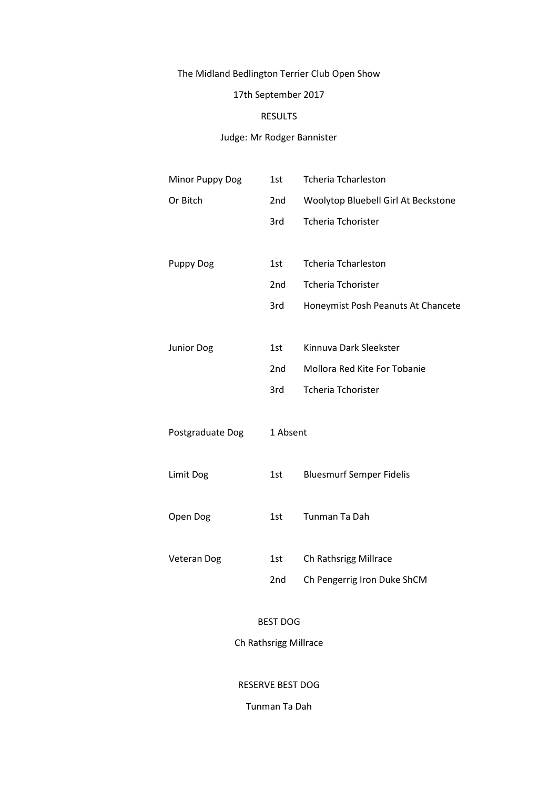# The Midland Bedlington Terrier Club Open Show

# 17th September 2017

# RESULTS

# Judge: Mr Rodger Bannister

| Minor Puppy Dog    | 1st             | <b>Tcheria Tcharleston</b>          |
|--------------------|-----------------|-------------------------------------|
| Or Bitch           | 2nd             | Woolytop Bluebell Girl At Beckstone |
|                    | 3rd             | <b>Tcheria Tchorister</b>           |
|                    |                 |                                     |
| <b>Puppy Dog</b>   | 1st             | <b>Tcheria Tcharleston</b>          |
|                    | 2 <sub>nd</sub> | <b>Tcheria Tchorister</b>           |
|                    | 3rd             | Honeymist Posh Peanuts At Chancete  |
|                    |                 |                                     |
| Junior Dog         | 1st             | Kinnuva Dark Sleekster              |
|                    | 2nd             | Mollora Red Kite For Tobanie        |
|                    | 3rd             | <b>Tcheria Tchorister</b>           |
|                    |                 |                                     |
| Postgraduate Dog   | 1 Absent        |                                     |
|                    |                 |                                     |
| Limit Dog          | 1st             | <b>Bluesmurf Semper Fidelis</b>     |
|                    |                 |                                     |
| Open Dog           | 1st             | Tunman Ta Dah                       |
|                    |                 |                                     |
| <b>Veteran Dog</b> | 1st             | Ch Rathsrigg Millrace               |
|                    | 2nd             | Ch Pengerrig Iron Duke ShCM         |
|                    |                 |                                     |

# BEST DOG

# Ch Rathsrigg Millrace

RESERVE BEST DOG

Tunman Ta Dah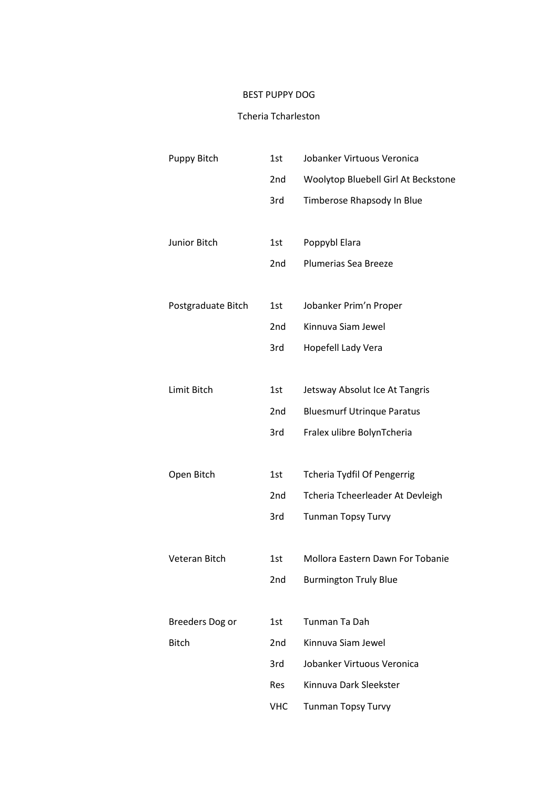# BEST PUPPY DOG

#### Tcheria Tcharleston

| Puppy Bitch        | 1st             | Jobanker Virtuous Veronica          |
|--------------------|-----------------|-------------------------------------|
|                    | 2nd             | Woolytop Bluebell Girl At Beckstone |
|                    | 3rd             | Timberose Rhapsody In Blue          |
|                    |                 |                                     |
| Junior Bitch       | 1st             | Poppybl Elara                       |
|                    | 2 <sub>nd</sub> | Plumerias Sea Breeze                |
|                    |                 |                                     |
| Postgraduate Bitch | 1st             | Jobanker Prim'n Proper              |
|                    | 2 <sub>nd</sub> | Kinnuva Siam Jewel                  |
|                    | 3rd             | Hopefell Lady Vera                  |
|                    |                 |                                     |
| Limit Bitch        | 1st             | Jetsway Absolut Ice At Tangris      |
|                    | 2 <sub>nd</sub> | <b>Bluesmurf Utrinque Paratus</b>   |
|                    | 3rd             | Fralex ulibre BolynTcheria          |
|                    |                 |                                     |
| Open Bitch         | 1st             | <b>Tcheria Tydfil Of Pengerrig</b>  |
|                    | 2nd             | Tcheria Tcheerleader At Devleigh    |
|                    | 3rd             | <b>Tunman Topsy Turvy</b>           |
|                    |                 |                                     |
| Veteran Bitch      | 1st             | Mollora Eastern Dawn For Tobanie    |
|                    | 2nd             | <b>Burmington Truly Blue</b>        |
|                    |                 |                                     |
| Breeders Dog or    | 1st             | Tunman Ta Dah                       |
| <b>Bitch</b>       | 2 <sub>nd</sub> | Kinnuva Siam Jewel                  |
|                    | 3rd             | Jobanker Virtuous Veronica          |
|                    | Res             | Kinnuva Dark Sleekster              |
|                    | <b>VHC</b>      | Tunman Topsy Turvy                  |